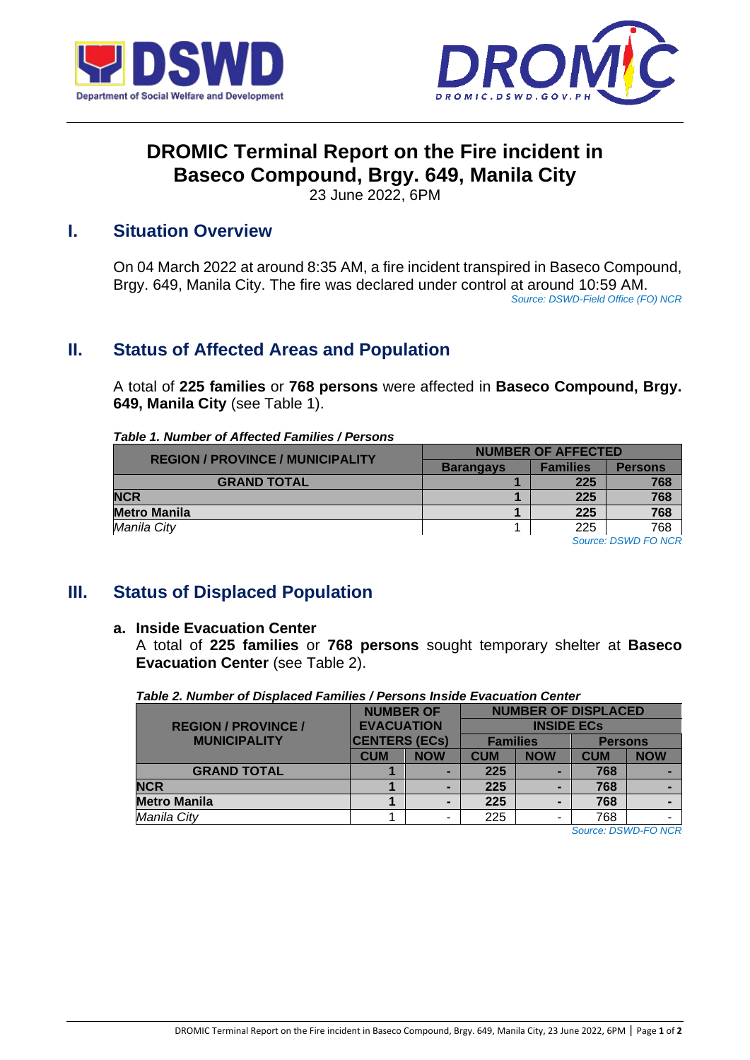



# **DROMIC Terminal Report on the Fire incident in Baseco Compound, Brgy. 649, Manila City**

23 June 2022, 6PM

#### **I. Situation Overview**

On 04 March 2022 at around 8:35 AM, a fire incident transpired in Baseco Compound, Brgy. 649, Manila City. The fire was declared under control at around 10:59 AM. *Source: DSWD-Field Office (FO) NCR* 

### **II. Status of Affected Areas and Population**

A total of **225 families** or **768 persons** were affected in **Baseco Compound, Brgy. 649, Manila City** (see Table 1).

*Table 1. Number of Affected Families / Persons*

| <b>REGION / PROVINCE / MUNICIPALITY</b> | <b>NUMBER OF AFFECTED</b> |                 |                |  |  |
|-----------------------------------------|---------------------------|-----------------|----------------|--|--|
|                                         | <b>Barangays</b>          | <b>Families</b> | <b>Persons</b> |  |  |
| <b>GRAND TOTAL</b>                      |                           | 225             | 768            |  |  |
| <b>NCR</b>                              |                           | 225             | 768            |  |  |
| <b>Metro Manila</b>                     |                           | 225             | 768            |  |  |
| Manila City                             |                           | 225             | 768            |  |  |
|                                         |                           |                 | ---------      |  |  |

*Source: DSWD FO NCR*

# **III. Status of Displaced Population**

#### **a. Inside Evacuation Center**

A total of **225 families** or **768 persons** sought temporary shelter at **Baseco Evacuation Center** (see Table 2).

|  |  |  | Table 2. Number of Displaced Families / Persons Inside Evacuation Center |  |
|--|--|--|--------------------------------------------------------------------------|--|
|  |  |  |                                                                          |  |

|                            | <b>NUMBER OF</b>                                                 |            | <b>NUMBER OF DISPLACED</b> |            |                |            |  |
|----------------------------|------------------------------------------------------------------|------------|----------------------------|------------|----------------|------------|--|
| <b>REGION / PROVINCE /</b> | <b>EVACUATION</b><br><b>CENTERS (ECs)</b><br><b>MUNICIPALITY</b> |            | <b>INSIDE ECS</b>          |            |                |            |  |
|                            |                                                                  |            | <b>Families</b>            |            | <b>Persons</b> |            |  |
|                            | <b>CUM</b>                                                       | <b>NOW</b> | <b>CUM</b>                 | <b>NOW</b> | <b>CUM</b>     | <b>NOW</b> |  |
| <b>GRAND TOTAL</b>         |                                                                  |            | 225                        |            | 768            |            |  |
| <b>NCR</b>                 |                                                                  |            | 225                        |            | 768            |            |  |
| <b>Metro Manila</b>        |                                                                  |            | 225                        |            | 768            |            |  |
| Manila City                |                                                                  |            | 225                        |            | 768            |            |  |

*Source: DSWD-FO NCR*